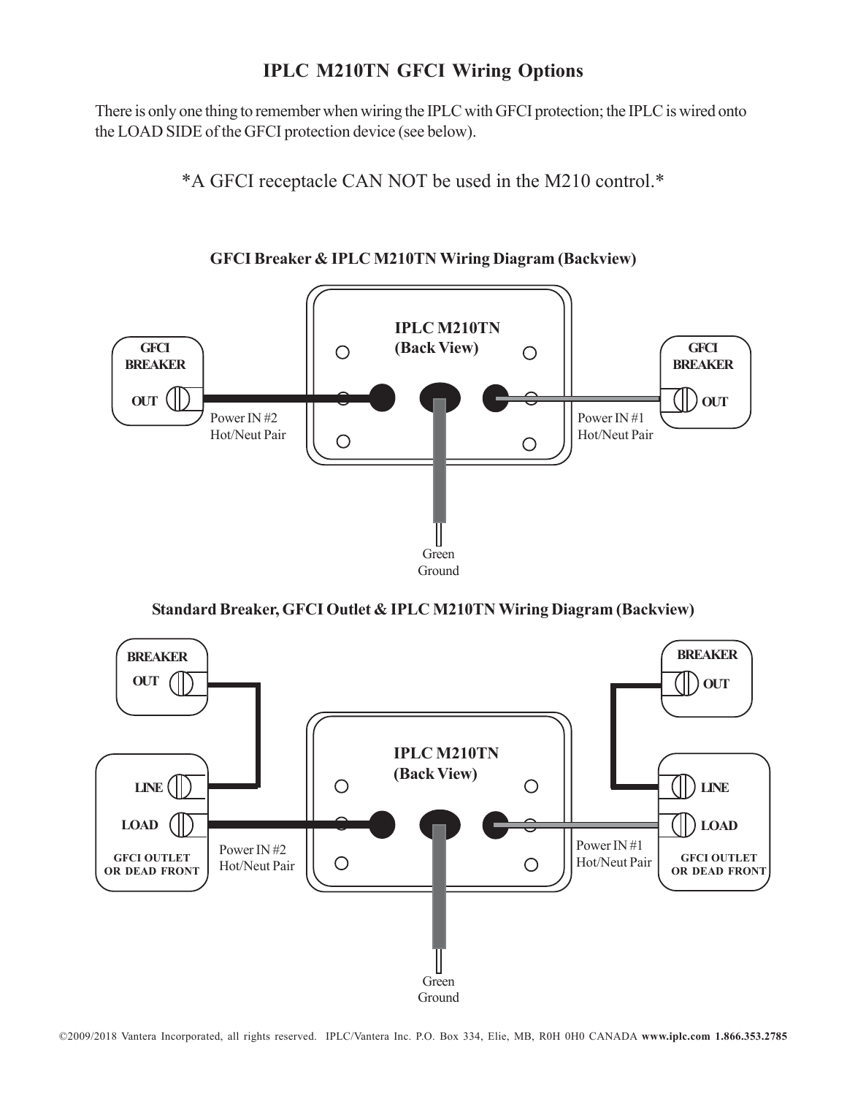## **IPLC M210TN GFCI Wiring Options**

There is only one thing to remember when wiring the IPLC with GFCI protection; the IPLC is wired onto the LOAD SIDE of the GFCI protection device (see below).

\*A GFCI receptacle CAN NOT be used in the M210 control.\*



**GFCI Breaker & IPLC M210TN Wiring Diagram (Backview)**

**Standard Breaker, GFCI Outlet & IPLC M210TN Wiring Diagram (Backview)**



©2009/2018 Vantera Incorporated, all rights reserved. IPLC/Vantera Inc. P.O. Box 334, Elie, MB, R0H 0H0 CANADA **www.iplc.com 1.866.353.2785**